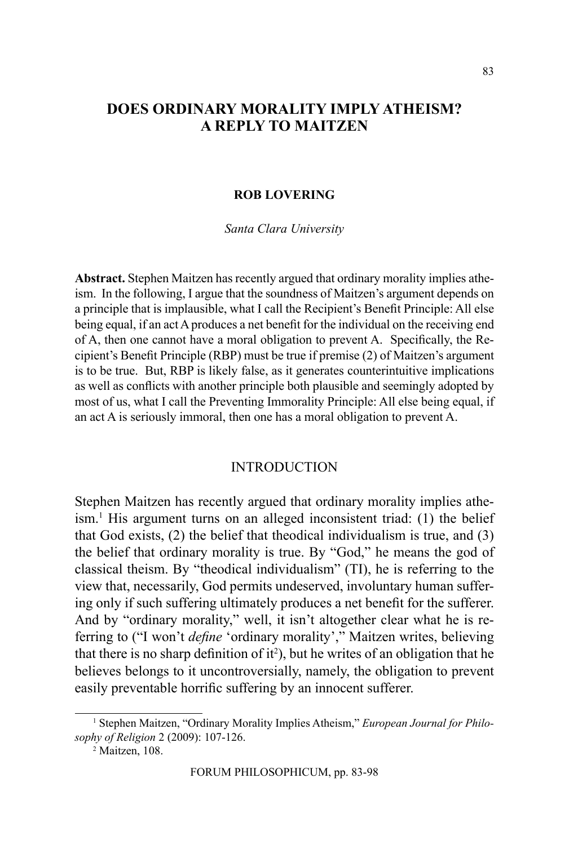# **DOES ORDINARY MORALITY IMPLY ATHEISM? A REPLY TO MAITZEN**

#### **ROB LOVERING**

*Santa Clara University*

**Abstract.** Stephen Maitzen has recently argued that ordinary morality implies atheism. In the following, I argue that the soundness of Maitzen's argument depends on a principle that is implausible, what I call the Recipient's Benefit Principle: All else being equal, if an act A produces a net benefit for the individual on the receiving end of A, then one cannot have a moral obligation to prevent A. Specifically, the Recipient's Benefit Principle (RBP) must be true if premise (2) of Maitzen's argument is to be true. But, RBP is likely false, as it generates counterintuitive implications as well as conflicts with another principle both plausible and seemingly adopted by most of us, what I call the Preventing Immorality Principle: All else being equal, if an act A is seriously immoral, then one has a moral obligation to prevent A.

# **INTRODUCTION**

Stephen Maitzen has recently argued that ordinary morality implies atheism.<sup>1</sup> His argument turns on an alleged inconsistent triad: (1) the belief that God exists, (2) the belief that theodical individualism is true, and (3) the belief that ordinary morality is true. By "God," he means the god of classical theism. By "theodical individualism" (TI), he is referring to the view that, necessarily, God permits undeserved, involuntary human suffering only if such suffering ultimately produces a net benefit for the sufferer. And by "ordinary morality," well, it isn't altogether clear what he is referring to ("I won't *define* 'ordinary morality'," Maitzen writes, believing that there is no sharp definition of  $it^2$ ), but he writes of an obligation that he believes belongs to it uncontroversially, namely, the obligation to prevent easily preventable horrific suffering by an innocent sufferer.

<sup>&</sup>lt;sup>1</sup> Stephen Maitzen, "Ordinary Morality Implies Atheism," *European Journal for Philosophy of Religion* 2 (2009): 107-126.

<sup>2</sup> Maitzen, 108.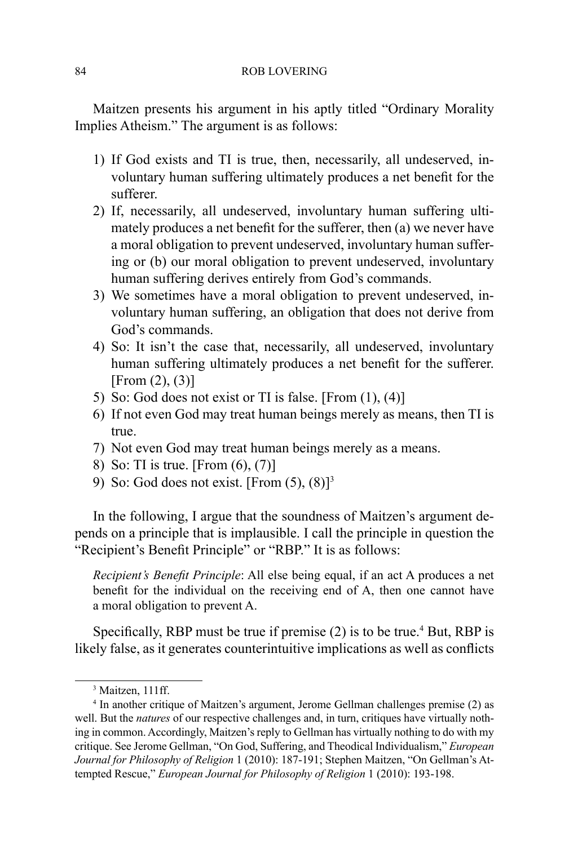Maitzen presents his argument in his aptly titled "Ordinary Morality Implies Atheism." The argument is as follows:

- 1) If God exists and TI is true, then, necessarily, all undeserved, involuntary human suffering ultimately produces a net benefit for the sufferer.
- 2) If, necessarily, all undeserved, involuntary human suffering ultimately produces a net benefit for the sufferer, then (a) we never have a moral obligation to prevent undeserved, involuntary human suffering or (b) our moral obligation to prevent undeserved, involuntary human suffering derives entirely from God's commands.
- 3) We sometimes have a moral obligation to prevent undeserved, involuntary human suffering, an obligation that does not derive from God's commands.
- 4) So: It isn't the case that, necessarily, all undeserved, involuntary human suffering ultimately produces a net benefit for the sufferer. [From  $(2)$ ,  $(3)$ ]
- 5) So: God does not exist or TI is false. [From (1), (4)]
- 6) If not even God may treat human beings merely as means, then TI is true.
- 7) Not even God may treat human beings merely as a means.
- 8) So: TI is true. [From (6), (7)]
- 9) So: God does not exist. [From  $(5)$ ,  $(8)$ ]<sup>3</sup>

In the following, I argue that the soundness of Maitzen's argument depends on a principle that is implausible. I call the principle in question the "Recipient's Benefit Principle" or "RBP." It is as follows:

*Recipient's Benefit Principle*: All else being equal, if an act A produces a net benefit for the individual on the receiving end of A, then one cannot have a moral obligation to prevent A.

Specifically, RBP must be true if premise (2) is to be true.<sup>4</sup> But, RBP is likely false, as it generates counterintuitive implications as well as conflicts

<sup>3</sup> Maitzen, 111ff.

<sup>4</sup> In another critique of Maitzen's argument, Jerome Gellman challenges premise (2) as well. But the *natures* of our respective challenges and, in turn, critiques have virtually nothing in common. Accordingly, Maitzen's reply to Gellman has virtually nothing to do with my critique. See Jerome Gellman, "On God, Suffering, and Theodical Individualism," *European Journal for Philosophy of Religion* 1 (2010): 187-191; Stephen Maitzen, "On Gellman's Attempted Rescue," *European Journal for Philosophy of Religion* 1 (2010): 193-198.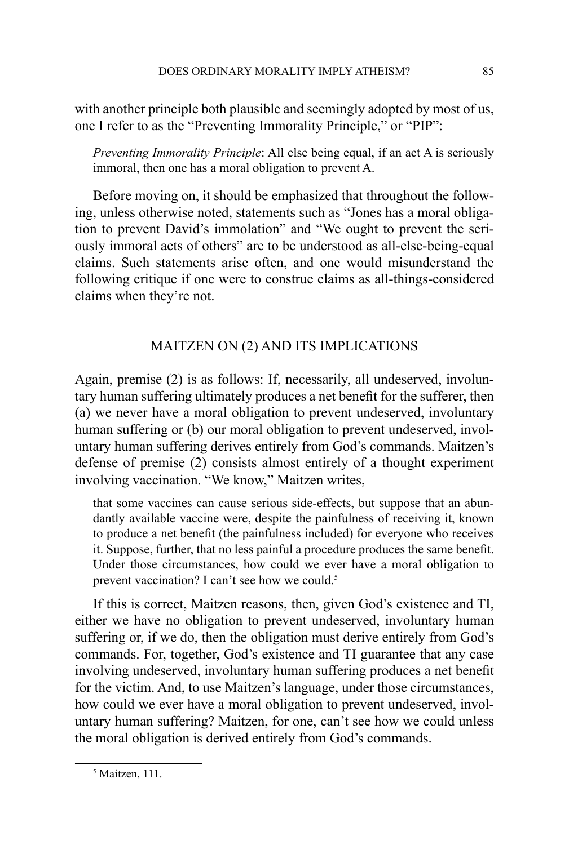with another principle both plausible and seemingly adopted by most of us, one I refer to as the "Preventing Immorality Principle," or "PIP":

*Preventing Immorality Principle*: All else being equal, if an act A is seriously immoral, then one has a moral obligation to prevent A.

Before moving on, it should be emphasized that throughout the following, unless otherwise noted, statements such as "Jones has a moral obligation to prevent David's immolation" and "We ought to prevent the seriously immoral acts of others" are to be understood as all-else-being-equal claims. Such statements arise often, and one would misunderstand the following critique if one were to construe claims as all-things-considered claims when they're not.

# Maitzen on (2) and Its Implications

Again, premise (2) is as follows: If, necessarily, all undeserved, involuntary human suffering ultimately produces a net benefit for the sufferer, then (a) we never have a moral obligation to prevent undeserved, involuntary human suffering or (b) our moral obligation to prevent undeserved, involuntary human suffering derives entirely from God's commands. Maitzen's defense of premise (2) consists almost entirely of a thought experiment involving vaccination. "We know," Maitzen writes,

that some vaccines can cause serious side-effects, but suppose that an abundantly available vaccine were, despite the painfulness of receiving it, known to produce a net benefit (the painfulness included) for everyone who receives it. Suppose, further, that no less painful a procedure produces the same benefit. Under those circumstances, how could we ever have a moral obligation to prevent vaccination? I can't see how we could.<sup>5</sup>

If this is correct, Maitzen reasons, then, given God's existence and TI, either we have no obligation to prevent undeserved, involuntary human suffering or, if we do, then the obligation must derive entirely from God's commands. For, together, God's existence and TI guarantee that any case involving undeserved, involuntary human suffering produces a net benefit for the victim. And, to use Maitzen's language, under those circumstances, how could we ever have a moral obligation to prevent undeserved, involuntary human suffering? Maitzen, for one, can't see how we could unless the moral obligation is derived entirely from God's commands.

<sup>5</sup> Maitzen, 111.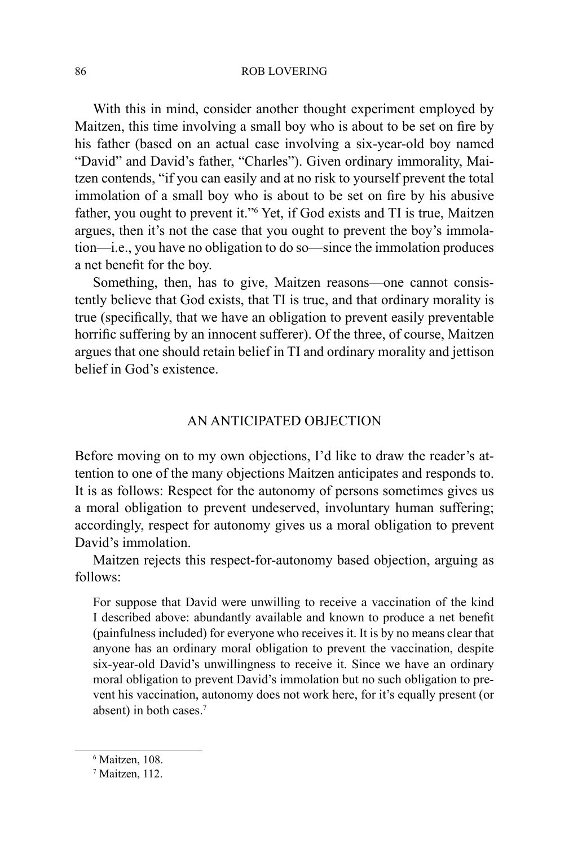With this in mind, consider another thought experiment employed by Maitzen, this time involving a small boy who is about to be set on fire by his father (based on an actual case involving a six-year-old boy named "David" and David's father, "Charles"). Given ordinary immorality, Maitzen contends, "if you can easily and at no risk to yourself prevent the total immolation of a small boy who is about to be set on fire by his abusive father, you ought to prevent it."6 Yet, if God exists and TI is true, Maitzen argues, then it's not the case that you ought to prevent the boy's immolation—i.e., you have no obligation to do so—since the immolation produces a net benefit for the boy.

Something, then, has to give, Maitzen reasons—one cannot consistently believe that God exists, that TI is true, and that ordinary morality is true (specifically, that we have an obligation to prevent easily preventable horrific suffering by an innocent sufferer). Of the three, of course, Maitzen argues that one should retain belief in TI and ordinary morality and jettison belief in God's existence.

# An Anticipated Objection

Before moving on to my own objections, I'd like to draw the reader's attention to one of the many objections Maitzen anticipates and responds to. It is as follows: Respect for the autonomy of persons sometimes gives us a moral obligation to prevent undeserved, involuntary human suffering; accordingly, respect for autonomy gives us a moral obligation to prevent David's immolation.

Maitzen rejects this respect-for-autonomy based objection, arguing as follows:

For suppose that David were unwilling to receive a vaccination of the kind I described above: abundantly available and known to produce a net benefit (painfulness included) for everyone who receives it. It is by no means clear that anyone has an ordinary moral obligation to prevent the vaccination, despite six-year-old David's unwillingness to receive it. Since we have an ordinary moral obligation to prevent David's immolation but no such obligation to prevent his vaccination, autonomy does not work here, for it's equally present (or absent) in both cases.7

<sup>6</sup> Maitzen, 108.

<sup>7</sup> Maitzen, 112.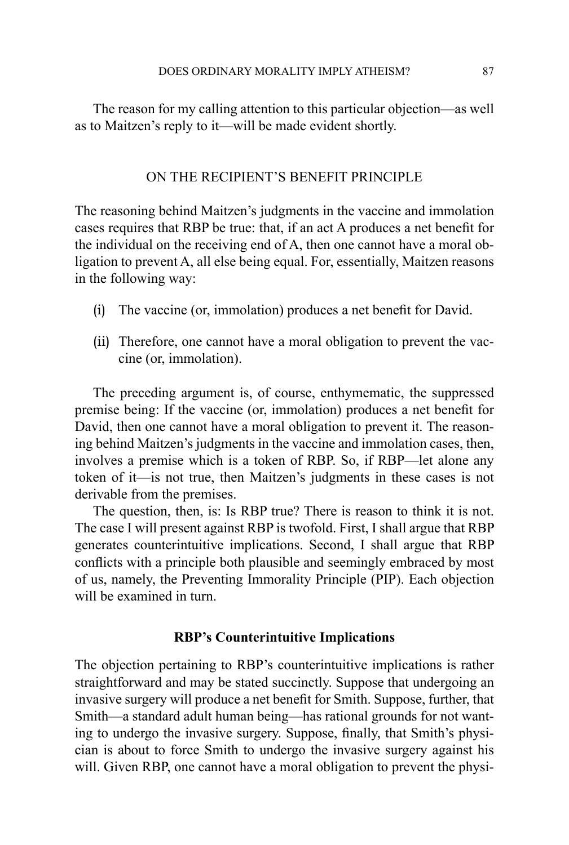The reason for my calling attention to this particular objection—as well as to Maitzen's reply to it—will be made evident shortly.

# On the Recipient's Benefit Principle

The reasoning behind Maitzen's judgments in the vaccine and immolation cases requires that RBP be true: that, if an act A produces a net benefit for the individual on the receiving end of A, then one cannot have a moral obligation to prevent A, all else being equal. For, essentially, Maitzen reasons in the following way:

- (i) The vaccine (or, immolation) produces a net benefit for David.
- (ii) Therefore, one cannot have a moral obligation to prevent the vaccine (or, immolation).

The preceding argument is, of course, enthymematic, the suppressed premise being: If the vaccine (or, immolation) produces a net benefit for David, then one cannot have a moral obligation to prevent it. The reasoning behind Maitzen's judgments in the vaccine and immolation cases, then, involves a premise which is a token of RBP. So, if RBP—let alone any token of it—is not true, then Maitzen's judgments in these cases is not derivable from the premises.

The question, then, is: Is RBP true? There is reason to think it is not. The case I will present against RBP is twofold. First, I shall argue that RBP generates counterintuitive implications. Second, I shall argue that RBP conflicts with a principle both plausible and seemingly embraced by most of us, namely, the Preventing Immorality Principle (PIP). Each objection will be examined in turn.

#### **RBP's Counterintuitive Implications**

The objection pertaining to RBP's counterintuitive implications is rather straightforward and may be stated succinctly. Suppose that undergoing an invasive surgery will produce a net benefit for Smith. Suppose, further, that Smith—a standard adult human being—has rational grounds for not wanting to undergo the invasive surgery. Suppose, finally, that Smith's physician is about to force Smith to undergo the invasive surgery against his will. Given RBP, one cannot have a moral obligation to prevent the physi-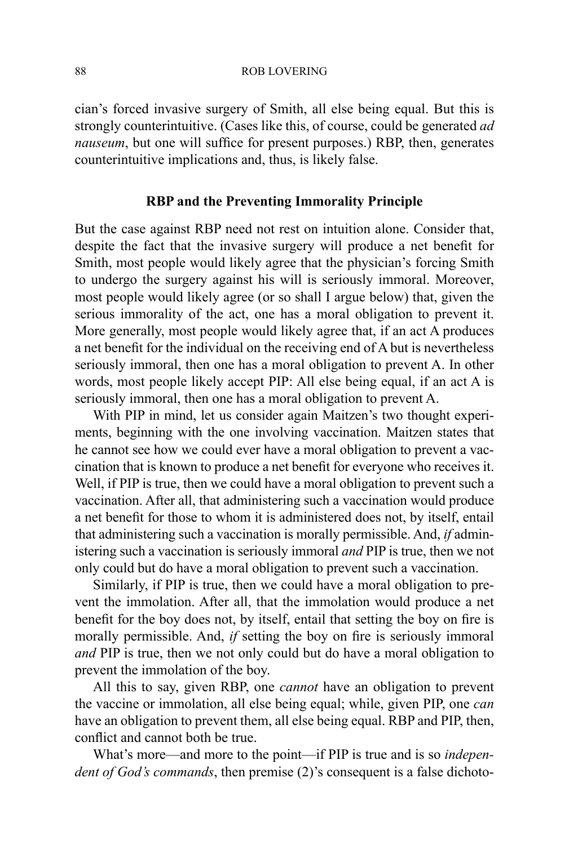cian's forced invasive surgery of Smith, all else being equal. But this is strongly counterintuitive. (Cases like this, of course, could be generated *ad nauseum*, but one will suffice for present purposes.) RBP, then, generates counterintuitive implications and, thus, is likely false.

### **RBP and the Preventing Immorality Principle**

But the case against RBP need not rest on intuition alone. Consider that, despite the fact that the invasive surgery will produce a net benefit for Smith, most people would likely agree that the physician's forcing Smith to undergo the surgery against his will is seriously immoral. Moreover, most people would likely agree (or so shall I argue below) that, given the serious immorality of the act, one has a moral obligation to prevent it. More generally, most people would likely agree that, if an act A produces a net benefit for the individual on the receiving end of A but is nevertheless seriously immoral, then one has a moral obligation to prevent A. In other words, most people likely accept PIP: All else being equal, if an act A is seriously immoral, then one has a moral obligation to prevent A.

With PIP in mind, let us consider again Maitzen's two thought experiments, beginning with the one involving vaccination. Maitzen states that he cannot see how we could ever have a moral obligation to prevent a vaccination that is known to produce a net benefit for everyone who receives it. Well, if PIP is true, then we could have a moral obligation to prevent such a vaccination. After all, that administering such a vaccination would produce a net benefit for those to whom it is administered does not, by itself, entail that administering such a vaccination is morally permissible. And, *if* administering such a vaccination is seriously immoral *and* PIP is true, then we not only could but do have a moral obligation to prevent such a vaccination.

Similarly, if PIP is true, then we could have a moral obligation to prevent the immolation. After all, that the immolation would produce a net benefit for the boy does not, by itself, entail that setting the boy on fire is morally permissible. And, *if* setting the boy on fire is seriously immoral *and* PIP is true, then we not only could but do have a moral obligation to prevent the immolation of the boy.

All this to say, given RBP, one *cannot* have an obligation to prevent the vaccine or immolation, all else being equal; while, given PIP, one *can* have an obligation to prevent them, all else being equal. RBP and PIP, then, conflict and cannot both be true.

What's more—and more to the point—if PIP is true and is so *independent of God's commands*, then premise (2)'s consequent is a false dichoto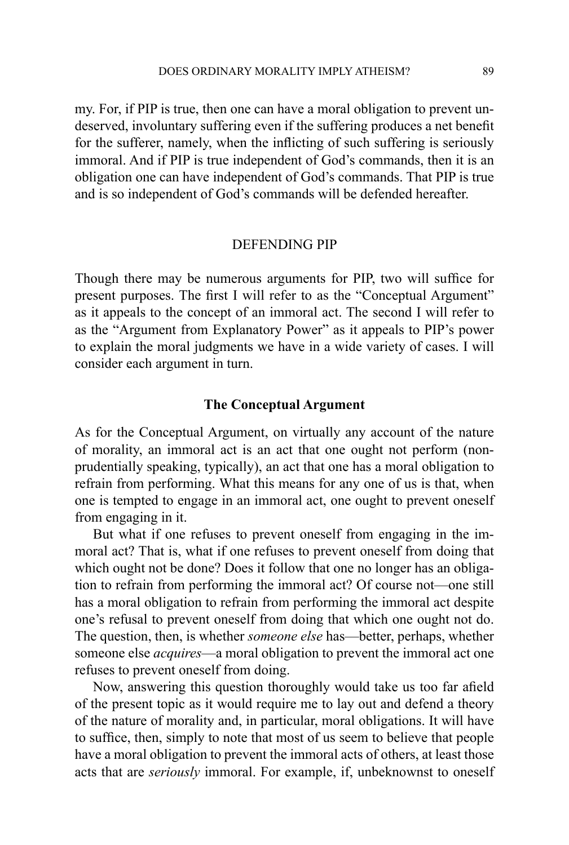my. For, if PIP is true, then one can have a moral obligation to prevent undeserved, involuntary suffering even if the suffering produces a net benefit for the sufferer, namely, when the inflicting of such suffering is seriously immoral. And if PIP is true independent of God's commands, then it is an obligation one can have independent of God's commands. That PIP is true and is so independent of God's commands will be defended hereafter.

#### Defending PIP

Though there may be numerous arguments for PIP, two will suffice for present purposes. The first I will refer to as the "Conceptual Argument" as it appeals to the concept of an immoral act. The second I will refer to as the "Argument from Explanatory Power" as it appeals to PIP's power to explain the moral judgments we have in a wide variety of cases. I will consider each argument in turn.

#### **The Conceptual Argument**

As for the Conceptual Argument, on virtually any account of the nature of morality, an immoral act is an act that one ought not perform (nonprudentially speaking, typically), an act that one has a moral obligation to refrain from performing. What this means for any one of us is that, when one is tempted to engage in an immoral act, one ought to prevent oneself from engaging in it.

But what if one refuses to prevent oneself from engaging in the immoral act? That is, what if one refuses to prevent oneself from doing that which ought not be done? Does it follow that one no longer has an obligation to refrain from performing the immoral act? Of course not—one still has a moral obligation to refrain from performing the immoral act despite one's refusal to prevent oneself from doing that which one ought not do. The question, then, is whether *someone else* has—better, perhaps, whether someone else *acquires*—a moral obligation to prevent the immoral act one refuses to prevent oneself from doing.

Now, answering this question thoroughly would take us too far afield of the present topic as it would require me to lay out and defend a theory of the nature of morality and, in particular, moral obligations. It will have to suffice, then, simply to note that most of us seem to believe that people have a moral obligation to prevent the immoral acts of others, at least those acts that are *seriously* immoral. For example, if, unbeknownst to oneself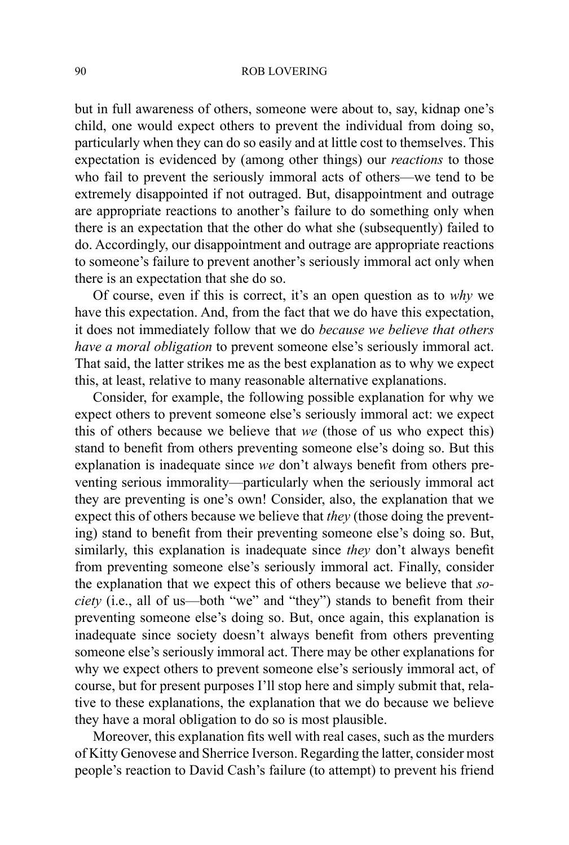but in full awareness of others, someone were about to, say, kidnap one's child, one would expect others to prevent the individual from doing so, particularly when they can do so easily and at little cost to themselves. This expectation is evidenced by (among other things) our *reactions* to those who fail to prevent the seriously immoral acts of others—we tend to be extremely disappointed if not outraged. But, disappointment and outrage are appropriate reactions to another's failure to do something only when there is an expectation that the other do what she (subsequently) failed to do. Accordingly, our disappointment and outrage are appropriate reactions to someone's failure to prevent another's seriously immoral act only when there is an expectation that she do so.

Of course, even if this is correct, it's an open question as to *why* we have this expectation. And, from the fact that we do have this expectation, it does not immediately follow that we do *because we believe that others have a moral obligation* to prevent someone else's seriously immoral act. That said, the latter strikes me as the best explanation as to why we expect this, at least, relative to many reasonable alternative explanations.

Consider, for example, the following possible explanation for why we expect others to prevent someone else's seriously immoral act: we expect this of others because we believe that *we* (those of us who expect this) stand to benefit from others preventing someone else's doing so. But this explanation is inadequate since *we* don't always benefit from others preventing serious immorality—particularly when the seriously immoral act they are preventing is one's own! Consider, also, the explanation that we expect this of others because we believe that *they* (those doing the preventing) stand to benefit from their preventing someone else's doing so. But, similarly, this explanation is inadequate since *they* don't always benefit from preventing someone else's seriously immoral act. Finally, consider the explanation that we expect this of others because we believe that *society* (i.e., all of us—both "we" and "they") stands to benefit from their preventing someone else's doing so. But, once again, this explanation is inadequate since society doesn't always benefit from others preventing someone else's seriously immoral act. There may be other explanations for why we expect others to prevent someone else's seriously immoral act, of course, but for present purposes I'll stop here and simply submit that, relative to these explanations, the explanation that we do because we believe they have a moral obligation to do so is most plausible.

Moreover, this explanation fits well with real cases, such as the murders of Kitty Genovese and Sherrice Iverson. Regarding the latter, consider most people's reaction to David Cash's failure (to attempt) to prevent his friend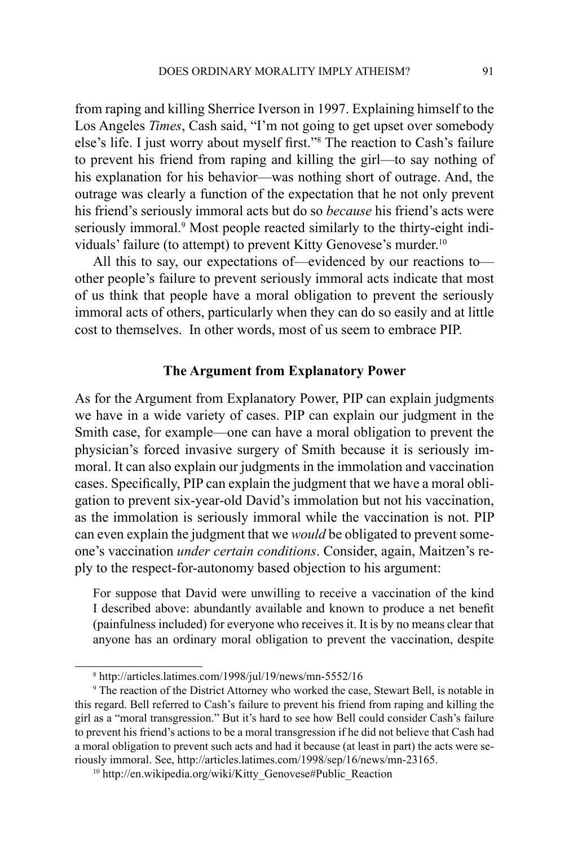from raping and killing Sherrice Iverson in 1997. Explaining himself to the Los Angeles *Times*, Cash said, "I'm not going to get upset over somebody else's life. I just worry about myself first."<sup>8</sup> The reaction to Cash's failure to prevent his friend from raping and killing the girl—to say nothing of his explanation for his behavior—was nothing short of outrage. And, the outrage was clearly a function of the expectation that he not only prevent his friend's seriously immoral acts but do so *because* his friend's acts were seriously immoral.<sup>9</sup> Most people reacted similarly to the thirty-eight individuals' failure (to attempt) to prevent Kitty Genovese's murder.<sup>10</sup>

All this to say, our expectations of—evidenced by our reactions to other people's failure to prevent seriously immoral acts indicate that most of us think that people have a moral obligation to prevent the seriously immoral acts of others, particularly when they can do so easily and at little cost to themselves. In other words, most of us seem to embrace PIP.

#### **The Argument from Explanatory Power**

As for the Argument from Explanatory Power, PIP can explain judgments we have in a wide variety of cases. PIP can explain our judgment in the Smith case, for example—one can have a moral obligation to prevent the physician's forced invasive surgery of Smith because it is seriously immoral. It can also explain our judgments in the immolation and vaccination cases. Specifically, PIP can explain the judgment that we have a moral obligation to prevent six-year-old David's immolation but not his vaccination, as the immolation is seriously immoral while the vaccination is not. PIP can even explain the judgment that we *would* be obligated to prevent someone's vaccination *under certain conditions*. Consider, again, Maitzen's reply to the respect-for-autonomy based objection to his argument:

For suppose that David were unwilling to receive a vaccination of the kind I described above: abundantly available and known to produce a net benefit (painfulness included) for everyone who receives it. It is by no means clear that anyone has an ordinary moral obligation to prevent the vaccination, despite

<sup>8</sup> http://articles.latimes.com/1998/jul/19/news/mn-5552/16

<sup>9</sup> The reaction of the District Attorney who worked the case, Stewart Bell, is notable in this regard. Bell referred to Cash's failure to prevent his friend from raping and killing the girl as a "moral transgression." But it's hard to see how Bell could consider Cash's failure to prevent his friend's actions to be a moral transgression if he did not believe that Cash had a moral obligation to prevent such acts and had it because (at least in part) the acts were seriously immoral. See, http://articles.latimes.com/1998/sep/16/news/mn-23165. 10 http://en.wikipedia.org/wiki/Kitty\_Genovese#Public\_Reaction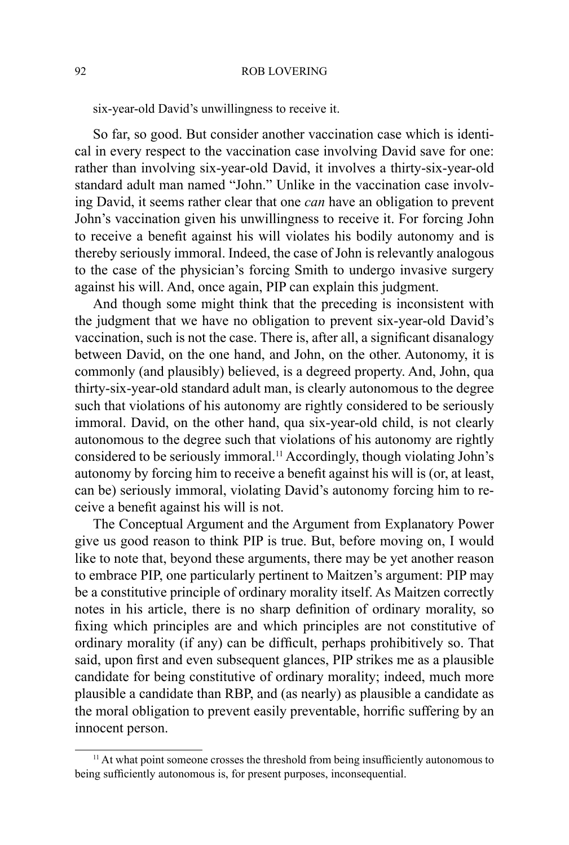six-year-old David's unwillingness to receive it.

So far, so good. But consider another vaccination case which is identical in every respect to the vaccination case involving David save for one: rather than involving six-year-old David, it involves a thirty-six-year-old standard adult man named "John." Unlike in the vaccination case involving David, it seems rather clear that one *can* have an obligation to prevent John's vaccination given his unwillingness to receive it. For forcing John to receive a benefit against his will violates his bodily autonomy and is thereby seriously immoral. Indeed, the case of John is relevantly analogous to the case of the physician's forcing Smith to undergo invasive surgery against his will. And, once again, PIP can explain this judgment.

And though some might think that the preceding is inconsistent with the judgment that we have no obligation to prevent six-year-old David's vaccination, such is not the case. There is, after all, a significant disanalogy between David, on the one hand, and John, on the other. Autonomy, it is commonly (and plausibly) believed, is a degreed property. And, John, qua thirty-six-year-old standard adult man, is clearly autonomous to the degree such that violations of his autonomy are rightly considered to be seriously immoral. David, on the other hand, qua six-year-old child, is not clearly autonomous to the degree such that violations of his autonomy are rightly considered to be seriously immoral.11 Accordingly, though violating John's autonomy by forcing him to receive a benefit against his will is (or, at least, can be) seriously immoral, violating David's autonomy forcing him to receive a benefit against his will is not.

The Conceptual Argument and the Argument from Explanatory Power give us good reason to think PIP is true. But, before moving on, I would like to note that, beyond these arguments, there may be yet another reason to embrace PIP, one particularly pertinent to Maitzen's argument: PIP may be a constitutive principle of ordinary morality itself. As Maitzen correctly notes in his article, there is no sharp definition of ordinary morality, so fixing which principles are and which principles are not constitutive of ordinary morality (if any) can be difficult, perhaps prohibitively so. That said, upon first and even subsequent glances, PIP strikes me as a plausible candidate for being constitutive of ordinary morality; indeed, much more plausible a candidate than RBP, and (as nearly) as plausible a candidate as the moral obligation to prevent easily preventable, horrific suffering by an innocent person.

<sup>&</sup>lt;sup>11</sup> At what point someone crosses the threshold from being insufficiently autonomous to being sufficiently autonomous is, for present purposes, inconsequential.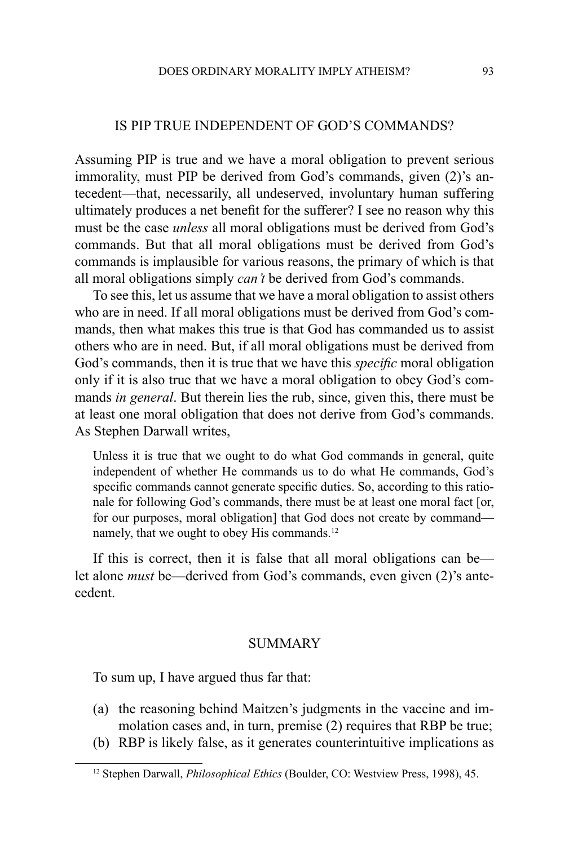## Is PIP True Independent of God's Commands?

Assuming PIP is true and we have a moral obligation to prevent serious immorality, must PIP be derived from God's commands, given (2)'s antecedent—that, necessarily, all undeserved, involuntary human suffering ultimately produces a net benefit for the sufferer? I see no reason why this must be the case *unless* all moral obligations must be derived from God's commands. But that all moral obligations must be derived from God's commands is implausible for various reasons, the primary of which is that all moral obligations simply *can't* be derived from God's commands.

To see this, let us assume that we have a moral obligation to assist others who are in need. If all moral obligations must be derived from God's commands, then what makes this true is that God has commanded us to assist others who are in need. But, if all moral obligations must be derived from God's commands, then it is true that we have this *specific* moral obligation only if it is also true that we have a moral obligation to obey God's commands *in general*. But therein lies the rub, since, given this, there must be at least one moral obligation that does not derive from God's commands. As Stephen Darwall writes,

Unless it is true that we ought to do what God commands in general, quite independent of whether He commands us to do what He commands, God's specific commands cannot generate specific duties. So, according to this rationale for following God's commands, there must be at least one moral fact [or, for our purposes, moral obligation] that God does not create by command namely, that we ought to obey His commands.<sup>12</sup>

If this is correct, then it is false that all moral obligations can be let alone *must* be—derived from God's commands, even given (2)'s antecedent.

## **SUMMARY**

To sum up, I have argued thus far that:

- (a) the reasoning behind Maitzen's judgments in the vaccine and immolation cases and, in turn, premise (2) requires that RBP be true;
- (b) RBP is likely false, as it generates counterintuitive implications as

<sup>12</sup> Stephen Darwall, *Philosophical Ethics* (Boulder, CO: Westview Press, 1998), 45.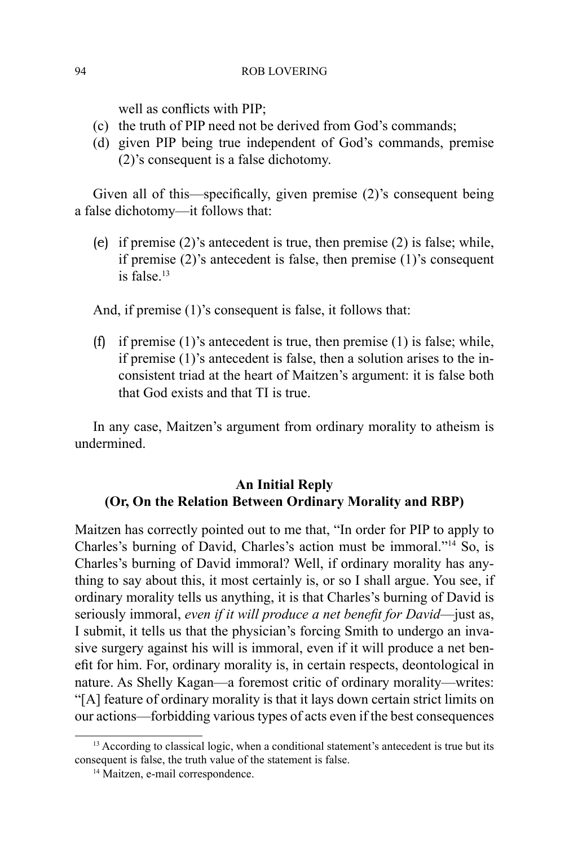well as conflicts with PIP;

- (c) the truth of PIP need not be derived from God's commands;
- (d) given PIP being true independent of God's commands, premise (2)'s consequent is a false dichotomy.

Given all of this—specifically, given premise (2)'s consequent being a false dichotomy—it follows that:

(e) if premise (2)'s antecedent is true, then premise (2) is false; while, if premise (2)'s antecedent is false, then premise (1)'s consequent is false. $13$ 

And, if premise (1)'s consequent is false, it follows that:

(f) if premise  $(1)$ 's antecedent is true, then premise  $(1)$  is false; while, if premise (1)'s antecedent is false, then a solution arises to the inconsistent triad at the heart of Maitzen's argument: it is false both that God exists and that TI is true.

In any case, Maitzen's argument from ordinary morality to atheism is undermined.

# **An Initial Reply (Or, On the Relation Between Ordinary Morality and RBP)**

Maitzen has correctly pointed out to me that, "In order for PIP to apply to Charles's burning of David, Charles's action must be immoral."14 So, is Charles's burning of David immoral? Well, if ordinary morality has anything to say about this, it most certainly is, or so I shall argue. You see, if ordinary morality tells us anything, it is that Charles's burning of David is seriously immoral, *even if it will produce a net benefit for David*—just as, I submit, it tells us that the physician's forcing Smith to undergo an invasive surgery against his will is immoral, even if it will produce a net benefit for him. For, ordinary morality is, in certain respects, deontological in nature. As Shelly Kagan—a foremost critic of ordinary morality—writes: "[A] feature of ordinary morality is that it lays down certain strict limits on our actions—forbidding various types of acts even if the best consequences

<sup>&</sup>lt;sup>13</sup> According to classical logic, when a conditional statement's antecedent is true but its consequent is false, the truth value of the statement is false.

<sup>14</sup> Maitzen, e-mail correspondence.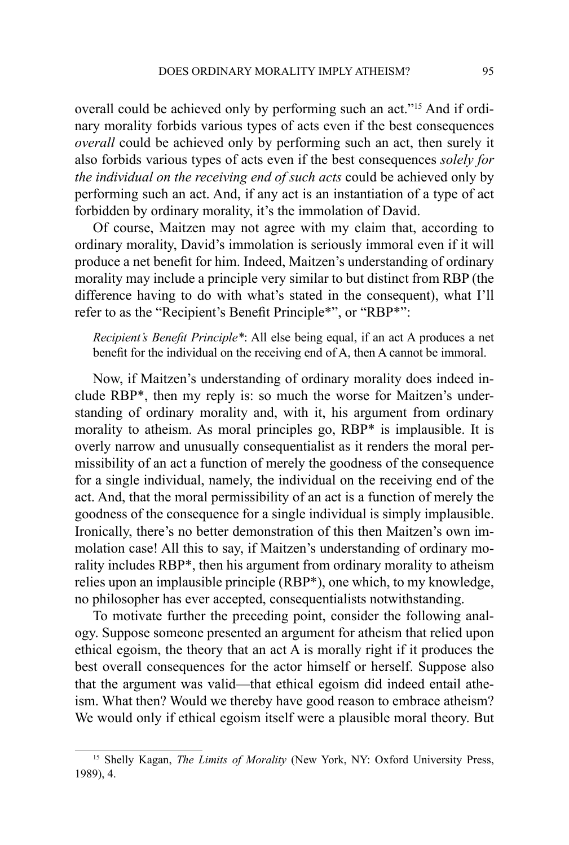overall could be achieved only by performing such an act."15 And if ordinary morality forbids various types of acts even if the best consequences *overall* could be achieved only by performing such an act, then surely it also forbids various types of acts even if the best consequences *solely for the individual on the receiving end of such acts* could be achieved only by performing such an act. And, if any act is an instantiation of a type of act forbidden by ordinary morality, it's the immolation of David.

Of course, Maitzen may not agree with my claim that, according to ordinary morality, David's immolation is seriously immoral even if it will produce a net benefit for him. Indeed, Maitzen's understanding of ordinary morality may include a principle very similar to but distinct from RBP (the difference having to do with what's stated in the consequent), what I'll refer to as the "Recipient's Benefit Principle\*", or "RBP\*":

*Recipient's Benefit Principle\**: All else being equal, if an act A produces a net benefit for the individual on the receiving end of A, then A cannot be immoral.

Now, if Maitzen's understanding of ordinary morality does indeed include RBP\*, then my reply is: so much the worse for Maitzen's understanding of ordinary morality and, with it, his argument from ordinary morality to atheism. As moral principles go, RBP\* is implausible. It is overly narrow and unusually consequentialist as it renders the moral permissibility of an act a function of merely the goodness of the consequence for a single individual, namely, the individual on the receiving end of the act. And, that the moral permissibility of an act is a function of merely the goodness of the consequence for a single individual is simply implausible. Ironically, there's no better demonstration of this then Maitzen's own immolation case! All this to say, if Maitzen's understanding of ordinary morality includes RBP\*, then his argument from ordinary morality to atheism relies upon an implausible principle (RBP\*), one which, to my knowledge, no philosopher has ever accepted, consequentialists notwithstanding.

To motivate further the preceding point, consider the following analogy. Suppose someone presented an argument for atheism that relied upon ethical egoism, the theory that an act A is morally right if it produces the best overall consequences for the actor himself or herself. Suppose also that the argument was valid—that ethical egoism did indeed entail atheism. What then? Would we thereby have good reason to embrace atheism? We would only if ethical egoism itself were a plausible moral theory. But

<sup>&</sup>lt;sup>15</sup> Shelly Kagan, *The Limits of Morality* (New York, NY: Oxford University Press, 1989), 4.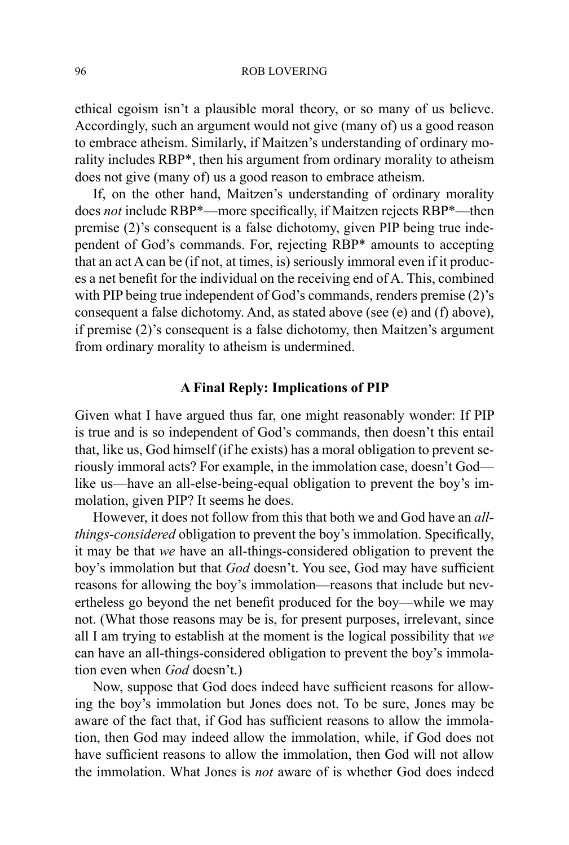ethical egoism isn't a plausible moral theory, or so many of us believe. Accordingly, such an argument would not give (many of) us a good reason to embrace atheism. Similarly, if Maitzen's understanding of ordinary morality includes RBP\*, then his argument from ordinary morality to atheism does not give (many of) us a good reason to embrace atheism.

If, on the other hand, Maitzen's understanding of ordinary morality does *not* include RBP\*—more specifically, if Maitzen rejects RBP\*—then premise (2)'s consequent is a false dichotomy, given PIP being true independent of God's commands. For, rejecting RBP\* amounts to accepting that an act A can be (if not, at times, is) seriously immoral even if it produces a net benefit for the individual on the receiving end of A. This, combined with PIP being true independent of God's commands, renders premise (2)'s consequent a false dichotomy. And, as stated above (see (e) and (f) above), if premise (2)'s consequent is a false dichotomy, then Maitzen's argument from ordinary morality to atheism is undermined.

# **A Final Reply: Implications of PIP**

Given what I have argued thus far, one might reasonably wonder: If PIP is true and is so independent of God's commands, then doesn't this entail that, like us, God himself (if he exists) has a moral obligation to prevent seriously immoral acts? For example, in the immolation case, doesn't God like us—have an all-else-being-equal obligation to prevent the boy's immolation, given PIP? It seems he does.

However, it does not follow from this that both we and God have an *allthings-considered* obligation to prevent the boy's immolation. Specifically, it may be that *we* have an all-things-considered obligation to prevent the boy's immolation but that *God* doesn't. You see, God may have sufficient reasons for allowing the boy's immolation—reasons that include but nevertheless go beyond the net benefit produced for the boy—while we may not. (What those reasons may be is, for present purposes, irrelevant, since all I am trying to establish at the moment is the logical possibility that *we* can have an all-things-considered obligation to prevent the boy's immolation even when *God* doesn't.)

Now, suppose that God does indeed have sufficient reasons for allowing the boy's immolation but Jones does not. To be sure, Jones may be aware of the fact that, if God has sufficient reasons to allow the immolation, then God may indeed allow the immolation, while, if God does not have sufficient reasons to allow the immolation, then God will not allow the immolation. What Jones is *not* aware of is whether God does indeed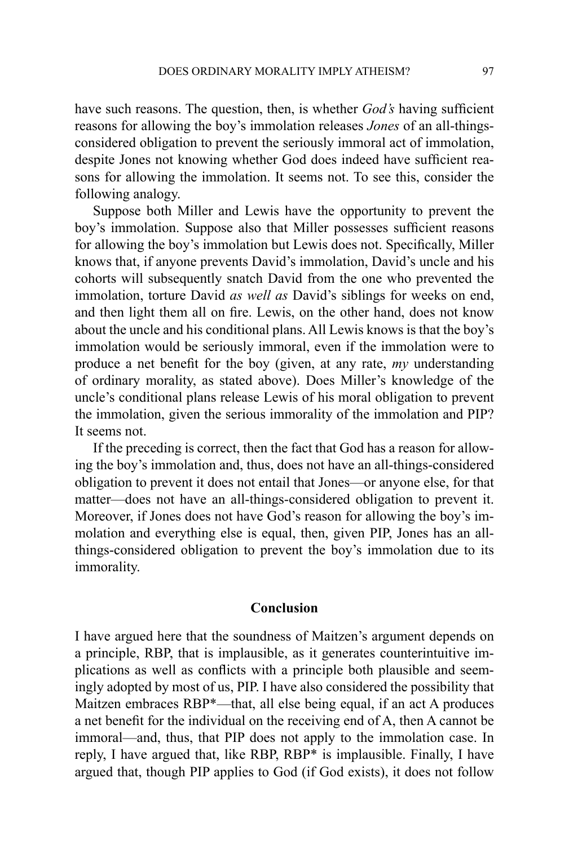have such reasons. The question, then, is whether *God's* having sufficient reasons for allowing the boy's immolation releases *Jones* of an all-thingsconsidered obligation to prevent the seriously immoral act of immolation, despite Jones not knowing whether God does indeed have sufficient reasons for allowing the immolation. It seems not. To see this, consider the following analogy.

Suppose both Miller and Lewis have the opportunity to prevent the boy's immolation. Suppose also that Miller possesses sufficient reasons for allowing the boy's immolation but Lewis does not. Specifically, Miller knows that, if anyone prevents David's immolation, David's uncle and his cohorts will subsequently snatch David from the one who prevented the immolation, torture David *as well as* David's siblings for weeks on end, and then light them all on fire. Lewis, on the other hand, does not know about the uncle and his conditional plans. All Lewis knows is that the boy's immolation would be seriously immoral, even if the immolation were to produce a net benefit for the boy (given, at any rate, *my* understanding of ordinary morality, as stated above). Does Miller's knowledge of the uncle's conditional plans release Lewis of his moral obligation to prevent the immolation, given the serious immorality of the immolation and PIP? It seems not.

If the preceding is correct, then the fact that God has a reason for allowing the boy's immolation and, thus, does not have an all-things-considered obligation to prevent it does not entail that Jones—or anyone else, for that matter—does not have an all-things-considered obligation to prevent it. Moreover, if Jones does not have God's reason for allowing the boy's immolation and everything else is equal, then, given PIP, Jones has an allthings-considered obligation to prevent the boy's immolation due to its immorality.

### **Conclusion**

I have argued here that the soundness of Maitzen's argument depends on a principle, RBP, that is implausible, as it generates counterintuitive implications as well as conflicts with a principle both plausible and seemingly adopted by most of us, PIP. I have also considered the possibility that Maitzen embraces RBP\*—that, all else being equal, if an act A produces a net benefit for the individual on the receiving end of A, then A cannot be immoral—and, thus, that PIP does not apply to the immolation case. In reply, I have argued that, like RBP, RBP\* is implausible. Finally, I have argued that, though PIP applies to God (if God exists), it does not follow